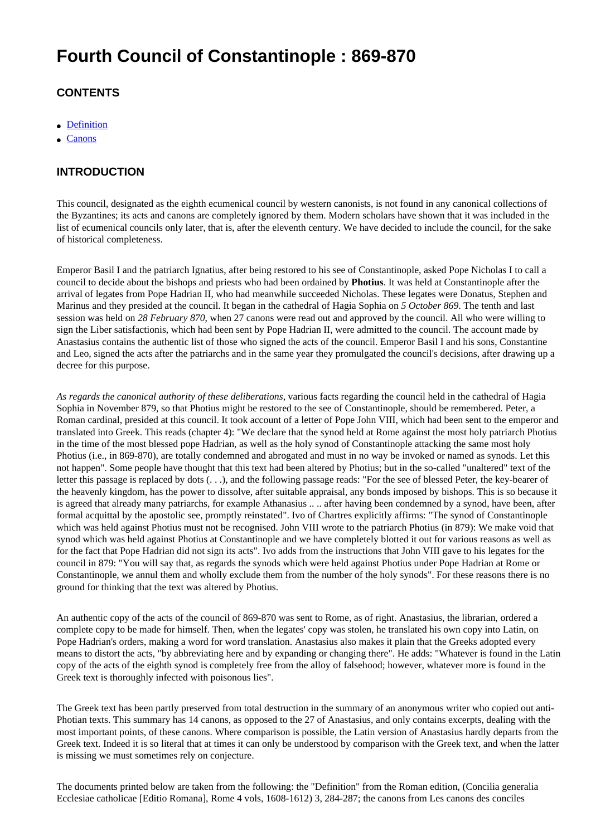# **Fourth Council of Constantinople : 869-870**

# **CONTENTS**

- [Definition](#page-1-0)
- [Canons](#page-4-0)

# **INTRODUCTION**

This council, designated as the eighth ecumenical council by western canonists, is not found in any canonical collections of the Byzantines; its acts and canons are completely ignored by them. Modern scholars have shown that it was included in the list of ecumenical councils only later, that is, after the eleventh century. We have decided to include the council, for the sake of historical completeness.

Emperor Basil I and the patriarch Ignatius, after being restored to his see of Constantinople, asked Pope Nicholas I to call a council to decide about the bishops and priests who had been ordained by **Photius**. It was held at Constantinople after the arrival of legates from Pope Hadrian II, who had meanwhile succeeded Nicholas. These legates were Donatus, Stephen and Marinus and they presided at the council. It began in the cathedral of Hagia Sophia on *5 October 869*. The tenth and last session was held on *28 February 870*, when 27 canons were read out and approved by the council. All who were willing to sign the Liber satisfactionis, which had been sent by Pope Hadrian II, were admitted to the council. The account made by Anastasius contains the authentic list of those who signed the acts of the council. Emperor Basil I and his sons, Constantine and Leo, signed the acts after the patriarchs and in the same year they promulgated the council's decisions, after drawing up a decree for this purpose.

*As regards the canonical authority of these deliberations*, various facts regarding the council held in the cathedral of Hagia Sophia in November 879, so that Photius might be restored to the see of Constantinople, should be remembered. Peter, a Roman cardinal, presided at this council. It took account of a letter of Pope John VIII, which had been sent to the emperor and translated into Greek. This reads (chapter 4): "We declare that the synod held at Rome against the most holy patriarch Photius in the time of the most blessed pope Hadrian, as well as the holy synod of Constantinople attacking the same most holy Photius (i.e., in 869-870), are totally condemned and abrogated and must in no way be invoked or named as synods. Let this not happen". Some people have thought that this text had been altered by Photius; but in the so-called "unaltered" text of the letter this passage is replaced by dots (. . .), and the following passage reads: "For the see of blessed Peter, the key-bearer of the heavenly kingdom, has the power to dissolve, after suitable appraisal, any bonds imposed by bishops. This is so because it is agreed that already many patriarchs, for example Athanasius .. .. after having been condemned by a synod, have been, after formal acquittal by the apostolic see, promptly reinstated". Ivo of Chartres explicitly affirms: "The synod of Constantinople which was held against Photius must not be recognised. John VIII wrote to the patriarch Photius (in 879): We make void that synod which was held against Photius at Constantinople and we have completely blotted it out for various reasons as well as for the fact that Pope Hadrian did not sign its acts". Ivo adds from the instructions that John VIII gave to his legates for the council in 879: "You will say that, as regards the synods which were held against Photius under Pope Hadrian at Rome or Constantinople, we annul them and wholly exclude them from the number of the holy synods". For these reasons there is no ground for thinking that the text was altered by Photius.

An authentic copy of the acts of the council of 869-870 was sent to Rome, as of right. Anastasius, the librarian, ordered a complete copy to be made for himself. Then, when the legates' copy was stolen, he translated his own copy into Latin, on Pope Hadrian's orders, making a word for word translation. Anastasius also makes it plain that the Greeks adopted every means to distort the acts, "by abbreviating here and by expanding or changing there". He adds: "Whatever is found in the Latin copy of the acts of the eighth synod is completely free from the alloy of falsehood; however, whatever more is found in the Greek text is thoroughly infected with poisonous lies".

The Greek text has been partly preserved from total destruction in the summary of an anonymous writer who copied out anti-Photian texts. This summary has 14 canons, as opposed to the 27 of Anastasius, and only contains excerpts, dealing with the most important points, of these canons. Where comparison is possible, the Latin version of Anastasius hardly departs from the Greek text. Indeed it is so literal that at times it can only be understood by comparison with the Greek text, and when the latter is missing we must sometimes rely on conjecture.

The documents printed below are taken from the following: the "Definition" from the Roman edition, (Concilia generalia Ecclesiae catholicae [Editio Romana], Rome 4 vols, 1608-1612) 3, 284-287; the canons from Les canons des conciles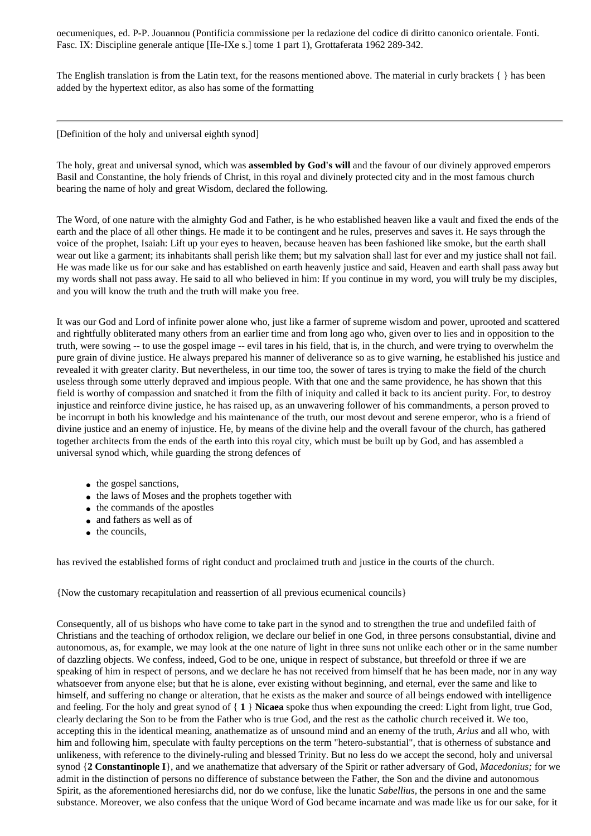oecumeniques, ed. P-P. Jouannou (Pontificia commissione per la redazione del codice di diritto canonico orientale. Fonti. Fasc. IX: Discipline generale antique [IIe-IXe s.] tome 1 part 1), Grottaferata 1962 289-342.

The English translation is from the Latin text, for the reasons mentioned above. The material in curly brackets { } has been added by the hypertext editor, as also has some of the formatting

<span id="page-1-0"></span>[Definition of the holy and universal eighth synod]

The holy, great and universal synod, which was **assembled by God's will** and the favour of our divinely approved emperors Basil and Constantine, the holy friends of Christ, in this royal and divinely protected city and in the most famous church bearing the name of holy and great Wisdom, declared the following.

The Word, of one nature with the almighty God and Father, is he who established heaven like a vault and fixed the ends of the earth and the place of all other things. He made it to be contingent and he rules, preserves and saves it. He says through the voice of the prophet, Isaiah: Lift up your eyes to heaven, because heaven has been fashioned like smoke, but the earth shall wear out like a garment; its inhabitants shall perish like them; but my salvation shall last for ever and my justice shall not fail. He was made like us for our sake and has established on earth heavenly justice and said, Heaven and earth shall pass away but my words shall not pass away. He said to all who believed in him: If you continue in my word, you will truly be my disciples, and you will know the truth and the truth will make you free.

It was our God and Lord of infinite power alone who, just like a farmer of supreme wisdom and power, uprooted and scattered and rightfully obliterated many others from an earlier time and from long ago who, given over to lies and in opposition to the truth, were sowing -- to use the gospel image -- evil tares in his field, that is, in the church, and were trying to overwhelm the pure grain of divine justice. He always prepared his manner of deliverance so as to give warning, he established his justice and revealed it with greater clarity. But nevertheless, in our time too, the sower of tares is trying to make the field of the church useless through some utterly depraved and impious people. With that one and the same providence, he has shown that this field is worthy of compassion and snatched it from the filth of iniquity and called it back to its ancient purity. For, to destroy injustice and reinforce divine justice, he has raised up, as an unwavering follower of his commandments, a person proved to be incorrupt in both his knowledge and his maintenance of the truth, our most devout and serene emperor, who is a friend of divine justice and an enemy of injustice. He, by means of the divine help and the overall favour of the church, has gathered together architects from the ends of the earth into this royal city, which must be built up by God, and has assembled a universal synod which, while guarding the strong defences of

- the gospel sanctions,
- the laws of Moses and the prophets together with
- the commands of the apostles
- and fathers as well as of
- the councils.

has revived the established forms of right conduct and proclaimed truth and justice in the courts of the church.

{Now the customary recapitulation and reassertion of all previous ecumenical councils}

Consequently, all of us bishops who have come to take part in the synod and to strengthen the true and undefiled faith of Christians and the teaching of orthodox religion, we declare our belief in one God, in three persons consubstantial, divine and autonomous, as, for example, we may look at the one nature of light in three suns not unlike each other or in the same number of dazzling objects. We confess, indeed, God to be one, unique in respect of substance, but threefold or three if we are speaking of him in respect of persons, and we declare he has not received from himself that he has been made, nor in any way whatsoever from anyone else; but that he is alone, ever existing without beginning, and eternal, ever the same and like to himself, and suffering no change or alteration, that he exists as the maker and source of all beings endowed with intelligence and feeling. For the holy and great synod of { **1** } **Nicaea** spoke thus when expounding the creed: Light from light, true God, clearly declaring the Son to be from the Father who is true God, and the rest as the catholic church received it. We too, accepting this in the identical meaning, anathematize as of unsound mind and an enemy of the truth, *Arius* and all who, with him and following him, speculate with faulty perceptions on the term "hetero-substantial", that is otherness of substance and unlikeness, with reference to the divinely-ruling and blessed Trinity. But no less do we accept the second, holy and universal synod {**2 Constantinople I**}, and we anathematize that adversary of the Spirit or rather adversary of God, *Macedonius;* for we admit in the distinction of persons no difference of substance between the Father, the Son and the divine and autonomous Spirit, as the aforementioned heresiarchs did, nor do we confuse, like the lunatic *Sabellius,* the persons in one and the same substance. Moreover, we also confess that the unique Word of God became incarnate and was made like us for our sake, for it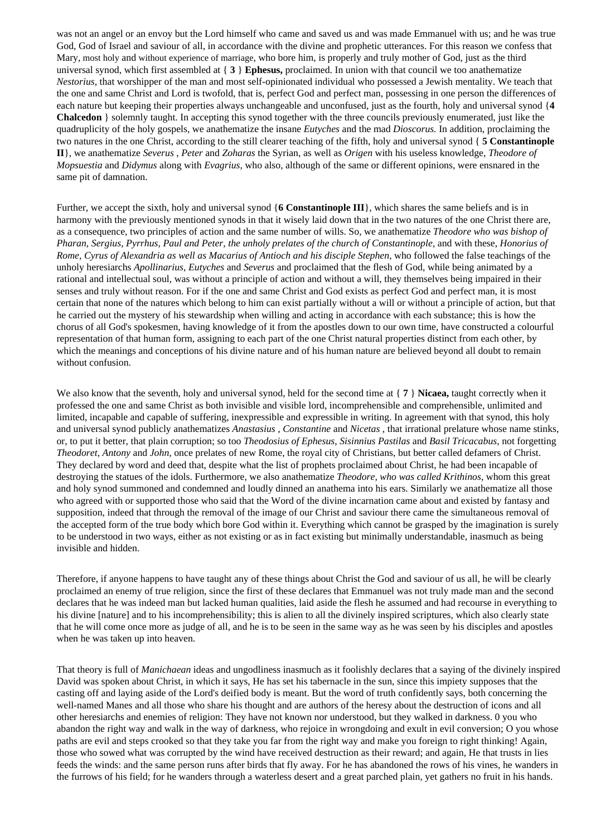was not an angel or an envoy but the Lord himself who came and saved us and was made Emmanuel with us; and he was true God, God of Israel and saviour of all, in accordance with the divine and prophetic utterances. For this reason we confess that Mary, most holy and without experience of marriage, who bore him, is properly and truly mother of God, just as the third universal synod, which first assembled at { **3** } **Ephesus,** proclaimed. In union with that council we too anathematize *Nestorius,* that worshipper of the man and most self-opinionated individual who possessed a Jewish mentality. We teach that the one and same Christ and Lord is twofold, that is, perfect God and perfect man, possessing in one person the differences of each nature but keeping their properties always unchangeable and unconfused, just as the fourth, holy and universal synod {**4 Chalcedon** } solemnly taught. In accepting this synod together with the three councils previously enumerated, just like the quadruplicity of the holy gospels, we anathematize the insane *Eutyches* and the mad *Dioscorus.* In addition, proclaiming the two natures in the one Christ, according to the still clearer teaching of the fifth, holy and universal synod { **5 Constantinople II**}, we anathematize *Severus* , *Peter* and *Zoharas* the Syrian, as well as *Origen* with his useless knowledge, *Theodore of Mopsuestia* and *Didymus* along with *Evagrius*, who also, although of the same or different opinions, were ensnared in the same pit of damnation.

Further, we accept the sixth, holy and universal synod {**6 Constantinople III**}, which shares the same beliefs and is in harmony with the previously mentioned synods in that it wisely laid down that in the two natures of the one Christ there are, as a consequence, two principles of action and the same number of wills. So, we anathematize *Theodore who was bishop of Pharan, Sergius, Pyrrhus, Paul and Peter, the unholy prelates of the church of Constantinople*, and with these, *Honorius of Rome, Cyrus of Alexandria as well as Macarius of Antioch and his disciple Stephen*, who followed the false teachings of the unholy heresiarchs *Apollinarius, Eutyches* and *Severus* and proclaimed that the flesh of God, while being animated by a rational and intellectual soul, was without a principle of action and without a will, they themselves being impaired in their senses and truly without reason. For if the one and same Christ and God exists as perfect God and perfect man, it is most certain that none of the natures which belong to him can exist partially without a will or without a principle of action, but that he carried out the mystery of his stewardship when willing and acting in accordance with each substance; this is how the chorus of all God's spokesmen, having knowledge of it from the apostles down to our own time, have constructed a colourful representation of that human form, assigning to each part of the one Christ natural properties distinct from each other, by which the meanings and conceptions of his divine nature and of his human nature are believed beyond all doubt to remain without confusion.

We also know that the seventh, holy and universal synod, held for the second time at { **7** } **Nicaea,** taught correctly when it professed the one and same Christ as both invisible and visible lord, incomprehensible and comprehensible, unlimited and limited, incapable and capable of suffering, inexpressible and expressible in writing. In agreement with that synod, this holy and universal synod publicly anathematizes *Anastasius* , *Constantine* and *Nicetas* , that irrational prelature whose name stinks, or, to put it better, that plain corruption; so too *Theodosius of Ephesus*, *Sisinnius Pastilas* and *Basil Tricacabus*, not forgetting *Theodoret*, *Antony* and *John*, once prelates of new Rome, the royal city of Christians, but better called defamers of Christ. They declared by word and deed that, despite what the list of prophets proclaimed about Christ, he had been incapable of destroying the statues of the idols. Furthermore, we also anathematize *Theodore, who was called Krithinos*, whom this great and holy synod summoned and condemned and loudly dinned an anathema into his ears. Similarly we anathematize all those who agreed with or supported those who said that the Word of the divine incarnation came about and existed by fantasy and supposition, indeed that through the removal of the image of our Christ and saviour there came the simultaneous removal of the accepted form of the true body which bore God within it. Everything which cannot be grasped by the imagination is surely to be understood in two ways, either as not existing or as in fact existing but minimally understandable, inasmuch as being invisible and hidden.

Therefore, if anyone happens to have taught any of these things about Christ the God and saviour of us all, he will be clearly proclaimed an enemy of true religion, since the first of these declares that Emmanuel was not truly made man and the second declares that he was indeed man but lacked human qualities, laid aside the flesh he assumed and had recourse in everything to his divine [nature] and to his incomprehensibility; this is alien to all the divinely inspired scriptures, which also clearly state that he will come once more as judge of all, and he is to be seen in the same way as he was seen by his disciples and apostles when he was taken up into heaven.

That theory is full of *Manichaean* ideas and ungodliness inasmuch as it foolishly declares that a saying of the divinely inspired David was spoken about Christ, in which it says, He has set his tabernacle in the sun, since this impiety supposes that the casting off and laying aside of the Lord's deified body is meant. But the word of truth confidently says, both concerning the well-named Manes and all those who share his thought and are authors of the heresy about the destruction of icons and all other heresiarchs and enemies of religion: They have not known nor understood, but they walked in darkness. 0 you who abandon the right way and walk in the way of darkness, who rejoice in wrongdoing and exult in evil conversion; O you whose paths are evil and steps crooked so that they take you far from the right way and make you foreign to right thinking! Again, those who sowed what was corrupted by the wind have received destruction as their reward; and again, He that trusts in lies feeds the winds: and the same person runs after birds that fly away. For he has abandoned the rows of his vines, he wanders in the furrows of his field; for he wanders through a waterless desert and a great parched plain, yet gathers no fruit in his hands.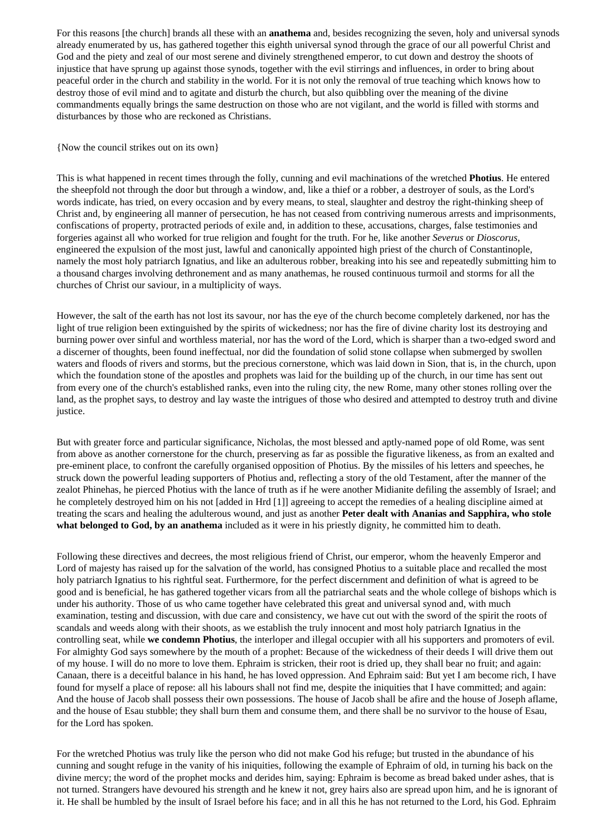For this reasons [the church] brands all these with an **anathema** and, besides recognizing the seven, holy and universal synods already enumerated by us, has gathered together this eighth universal synod through the grace of our all powerful Christ and God and the piety and zeal of our most serene and divinely strengthened emperor, to cut down and destroy the shoots of injustice that have sprung up against those synods, together with the evil stirrings and influences, in order to bring about peaceful order in the church and stability in the world. For it is not only the removal of true teaching which knows how to destroy those of evil mind and to agitate and disturb the church, but also quibbling over the meaning of the divine commandments equally brings the same destruction on those who are not vigilant, and the world is filled with storms and disturbances by those who are reckoned as Christians.

#### {Now the council strikes out on its own}

This is what happened in recent times through the folly, cunning and evil machinations of the wretched **Photius**. He entered the sheepfold not through the door but through a window, and, like a thief or a robber, a destroyer of souls, as the Lord's words indicate, has tried, on every occasion and by every means, to steal, slaughter and destroy the right-thinking sheep of Christ and, by engineering all manner of persecution, he has not ceased from contriving numerous arrests and imprisonments, confiscations of property, protracted periods of exile and, in addition to these, accusations, charges, false testimonies and forgeries against all who worked for true religion and fought for the truth. For he, like another *Severus* or *Dioscorus*, engineered the expulsion of the most just, lawful and canonically appointed high priest of the church of Constantinople, namely the most holy patriarch Ignatius, and like an adulterous robber, breaking into his see and repeatedly submitting him to a thousand charges involving dethronement and as many anathemas, he roused continuous turmoil and storms for all the churches of Christ our saviour, in a multiplicity of ways.

However, the salt of the earth has not lost its savour, nor has the eye of the church become completely darkened, nor has the light of true religion been extinguished by the spirits of wickedness; nor has the fire of divine charity lost its destroying and burning power over sinful and worthless material, nor has the word of the Lord, which is sharper than a two-edged sword and a discerner of thoughts, been found ineffectual, nor did the foundation of solid stone collapse when submerged by swollen waters and floods of rivers and storms, but the precious cornerstone, which was laid down in Sion, that is, in the church, upon which the foundation stone of the apostles and prophets was laid for the building up of the church, in our time has sent out from every one of the church's established ranks, even into the ruling city, the new Rome, many other stones rolling over the land, as the prophet says, to destroy and lay waste the intrigues of those who desired and attempted to destroy truth and divine justice.

But with greater force and particular significance, Nicholas, the most blessed and aptly-named pope of old Rome, was sent from above as another cornerstone for the church, preserving as far as possible the figurative likeness, as from an exalted and pre-eminent place, to confront the carefully organised opposition of Photius. By the missiles of his letters and speeches, he struck down the powerful leading supporters of Photius and, reflecting a story of the old Testament, after the manner of the zealot Phinehas, he pierced Photius with the lance of truth as if he were another Midianite defiling the assembly of Israel; and he completely destroyed him on his not [added in Hrd [1]] agreeing to accept the remedies of a healing discipline aimed at treating the scars and healing the adulterous wound, and just as another **Peter dealt with Ananias and Sapphira, who stole what belonged to God, by an anathema** included as it were in his priestly dignity, he committed him to death.

Following these directives and decrees, the most religious friend of Christ, our emperor, whom the heavenly Emperor and Lord of majesty has raised up for the salvation of the world, has consigned Photius to a suitable place and recalled the most holy patriarch Ignatius to his rightful seat. Furthermore, for the perfect discernment and definition of what is agreed to be good and is beneficial, he has gathered together vicars from all the patriarchal seats and the whole college of bishops which is under his authority. Those of us who came together have celebrated this great and universal synod and, with much examination, testing and discussion, with due care and consistency, we have cut out with the sword of the spirit the roots of scandals and weeds along with their shoots, as we establish the truly innocent and most holy patriarch Ignatius in the controlling seat, while **we condemn Photius**, the interloper and illegal occupier with all his supporters and promoters of evil. For almighty God says somewhere by the mouth of a prophet: Because of the wickedness of their deeds I will drive them out of my house. I will do no more to love them. Ephraim is stricken, their root is dried up, they shall bear no fruit; and again: Canaan, there is a deceitful balance in his hand, he has loved oppression. And Ephraim said: But yet I am become rich, I have found for myself a place of repose: all his labours shall not find me, despite the iniquities that I have committed; and again: And the house of Jacob shall possess their own possessions. The house of Jacob shall be afire and the house of Joseph aflame, and the house of Esau stubble; they shall burn them and consume them, and there shall be no survivor to the house of Esau, for the Lord has spoken.

For the wretched Photius was truly like the person who did not make God his refuge; but trusted in the abundance of his cunning and sought refuge in the vanity of his iniquities, following the example of Ephraim of old, in turning his back on the divine mercy; the word of the prophet mocks and derides him, saying: Ephraim is become as bread baked under ashes, that is not turned. Strangers have devoured his strength and he knew it not, grey hairs also are spread upon him, and he is ignorant of it. He shall be humbled by the insult of Israel before his face; and in all this he has not returned to the Lord, his God. Ephraim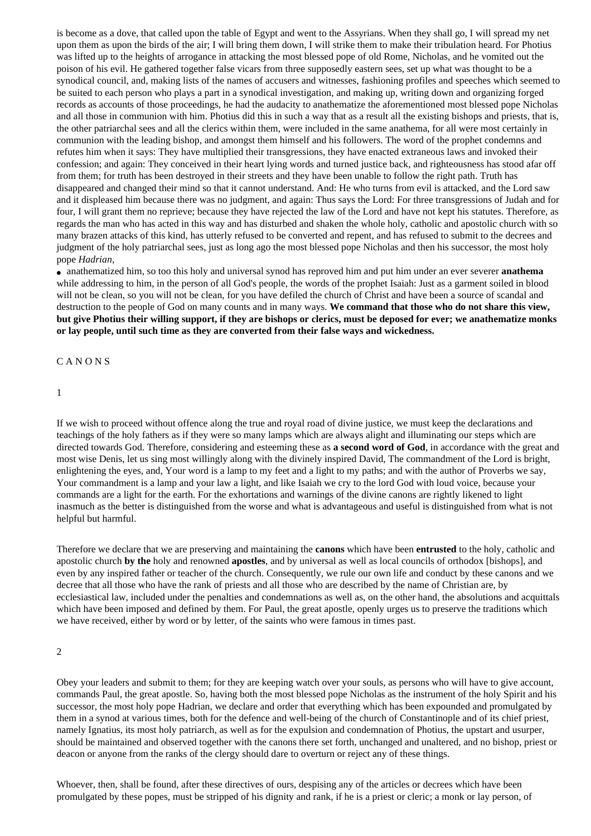is become as a dove, that called upon the table of Egypt and went to the Assyrians. When they shall go, I will spread my net upon them as upon the birds of the air; I will bring them down, I will strike them to make their tribulation heard. For Photius was lifted up to the heights of arrogance in attacking the most blessed pope of old Rome, Nicholas, and he vomited out the poison of his evil. He gathered together false vicars from three supposedly eastern sees, set up what was thought to be a synodical council, and, making lists of the names of accusers and witnesses, fashioning profiles and speeches which seemed to be suited to each person who plays a part in a synodical investigation, and making up, writing down and organizing forged records as accounts of those proceedings, he had the audacity to anathematize the aforementioned most blessed pope Nicholas and all those in communion with him. Photius did this in such a way that as a result all the existing bishops and priests, that is, the other patriarchal sees and all the clerics within them, were included in the same anathema, for all were most certainly in communion with the leading bishop, and amongst them himself and his followers. The word of the prophet condemns and refutes him when it says: They have multiplied their transgressions, they have enacted extraneous laws and invoked their confession; and again: They conceived in their heart lying words and turned justice back, and righteousness has stood afar off from them; for truth has been destroyed in their streets and they have been unable to follow the right path. Truth has disappeared and changed their mind so that it cannot understand. And: He who turns from evil is attacked, and the Lord saw and it displeased him because there was no judgment, and again: Thus says the Lord: For three transgressions of Judah and for four, I will grant them no reprieve; because they have rejected the law of the Lord and have not kept his statutes. Therefore, as regards the man who has acted in this way and has disturbed and shaken the whole holy, catholic and apostolic church with so many brazen attacks of this kind, has utterly refused to be converted and repent, and has refused to submit to the decrees and judgment of the holy patriarchal sees, just as long ago the most blessed pope Nicholas and then his successor, the most holy pope *Hadrian,* 

● anathematized him, so too this holy and universal synod has reproved him and put him under an ever severer **anathema** while addressing to him, in the person of all God's people, the words of the prophet Isaiah: Just as a garment soiled in blood will not be clean, so you will not be clean, for you have defiled the church of Christ and have been a source of scandal and destruction to the people of God on many counts and in many ways. **We command that those who do not share this view, but give Photius their willing support, if they are bishops or clerics, must be deposed for ever; we anathematize monks or lay people, until such time as they are converted from their false ways and wickedness.**

#### <span id="page-4-0"></span>C A N O N S

1

If we wish to proceed without offence along the true and royal road of divine justice, we must keep the declarations and teachings of the holy fathers as if they were so many lamps which are always alight and illuminating our steps which are directed towards God. Therefore, considering and esteeming these as **a second word of God**, in accordance with the great and most wise Denis, let us sing most willingly along with the divinely inspired David, The commandment of the Lord is bright, enlightening the eyes, and, Your word is a lamp to my feet and a light to my paths; and with the author of Proverbs we say, Your commandment is a lamp and your law a light, and like Isaiah we cry to the lord God with loud voice, because your commands are a light for the earth. For the exhortations and warnings of the divine canons are rightly likened to light inasmuch as the better is distinguished from the worse and what is advantageous and useful is distinguished from what is not helpful but harmful.

Therefore we declare that we are preserving and maintaining the **canons** which have been **entrusted** to the holy, catholic and apostolic church **by the** holy and renowned **apostles**, and by universal as well as local councils of orthodox [bishops], and even by any inspired father or teacher of the church. Consequently, we rule our own life and conduct by these canons and we decree that all those who have the rank of priests and all those who are described by the name of Christian are, by ecclesiastical law, included under the penalties and condemnations as well as, on the other hand, the absolutions and acquittals which have been imposed and defined by them. For Paul, the great apostle, openly urges us to preserve the traditions which we have received, either by word or by letter, of the saints who were famous in times past.

Obey your leaders and submit to them; for they are keeping watch over your souls, as persons who will have to give account, commands Paul, the great apostle. So, having both the most blessed pope Nicholas as the instrument of the holy Spirit and his successor, the most holy pope Hadrian, we declare and order that everything which has been expounded and promulgated by them in a synod at various times, both for the defence and well-being of the church of Constantinople and of its chief priest, namely Ignatius, its most holy patriarch, as well as for the expulsion and condemnation of Photius, the upstart and usurper, should be maintained and observed together with the canons there set forth, unchanged and unaltered, and no bishop, priest or deacon or anyone from the ranks of the clergy should dare to overturn or reject any of these things.

Whoever, then, shall be found, after these directives of ours, despising any of the articles or decrees which have been promulgated by these popes, must be stripped of his dignity and rank, if he is a priest or cleric; a monk or lay person, of

<sup>2</sup>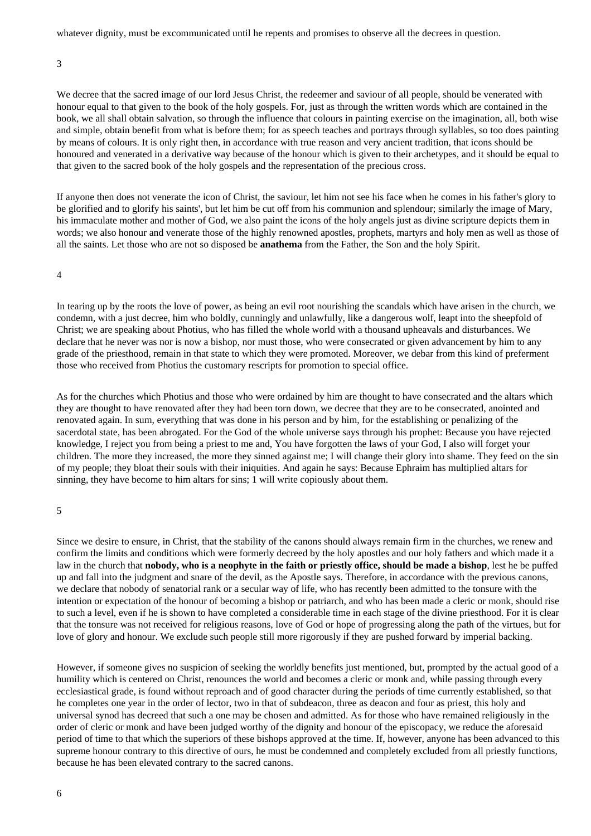whatever dignity, must be excommunicated until he repents and promises to observe all the decrees in question.

3

We decree that the sacred image of our lord Jesus Christ, the redeemer and saviour of all people, should be venerated with honour equal to that given to the book of the holy gospels. For, just as through the written words which are contained in the book, we all shall obtain salvation, so through the influence that colours in painting exercise on the imagination, all, both wise and simple, obtain benefit from what is before them; for as speech teaches and portrays through syllables, so too does painting by means of colours. It is only right then, in accordance with true reason and very ancient tradition, that icons should be honoured and venerated in a derivative way because of the honour which is given to their archetypes, and it should be equal to that given to the sacred book of the holy gospels and the representation of the precious cross.

If anyone then does not venerate the icon of Christ, the saviour, let him not see his face when he comes in his father's glory to be glorified and to glorify his saints', but let him be cut off from his communion and splendour; similarly the image of Mary, his immaculate mother and mother of God, we also paint the icons of the holy angels just as divine scripture depicts them in words; we also honour and venerate those of the highly renowned apostles, prophets, martyrs and holy men as well as those of all the saints. Let those who are not so disposed be **anathema** from the Father, the Son and the holy Spirit.

4

In tearing up by the roots the love of power, as being an evil root nourishing the scandals which have arisen in the church, we condemn, with a just decree, him who boldly, cunningly and unlawfully, like a dangerous wolf, leapt into the sheepfold of Christ; we are speaking about Photius, who has filled the whole world with a thousand upheavals and disturbances. We declare that he never was nor is now a bishop, nor must those, who were consecrated or given advancement by him to any grade of the priesthood, remain in that state to which they were promoted. Moreover, we debar from this kind of preferment those who received from Photius the customary rescripts for promotion to special office.

As for the churches which Photius and those who were ordained by him are thought to have consecrated and the altars which they are thought to have renovated after they had been torn down, we decree that they are to be consecrated, anointed and renovated again. In sum, everything that was done in his person and by him, for the establishing or penalizing of the sacerdotal state, has been abrogated. For the God of the whole universe says through his prophet: Because you have rejected knowledge, I reject you from being a priest to me and, You have forgotten the laws of your God, I also will forget your children. The more they increased, the more they sinned against me; I will change their glory into shame. They feed on the sin of my people; they bloat their souls with their iniquities. And again he says: Because Ephraim has multiplied altars for sinning, they have become to him altars for sins; 1 will write copiously about them.

Since we desire to ensure, in Christ, that the stability of the canons should always remain firm in the churches, we renew and confirm the limits and conditions which were formerly decreed by the holy apostles and our holy fathers and which made it a law in the church that **nobody, who is a neophyte in the faith or priestly office, should be made a bishop**, lest he be puffed up and fall into the judgment and snare of the devil, as the Apostle says. Therefore, in accordance with the previous canons, we declare that nobody of senatorial rank or a secular way of life, who has recently been admitted to the tonsure with the intention or expectation of the honour of becoming a bishop or patriarch, and who has been made a cleric or monk, should rise to such a level, even if he is shown to have completed a considerable time in each stage of the divine priesthood. For it is clear that the tonsure was not received for religious reasons, love of God or hope of progressing along the path of the virtues, but for love of glory and honour. We exclude such people still more rigorously if they are pushed forward by imperial backing.

However, if someone gives no suspicion of seeking the worldly benefits just mentioned, but, prompted by the actual good of a humility which is centered on Christ, renounces the world and becomes a cleric or monk and, while passing through every ecclesiastical grade, is found without reproach and of good character during the periods of time currently established, so that he completes one year in the order of lector, two in that of subdeacon, three as deacon and four as priest, this holy and universal synod has decreed that such a one may be chosen and admitted. As for those who have remained religiously in the order of cleric or monk and have been judged worthy of the dignity and honour of the episcopacy, we reduce the aforesaid period of time to that which the superiors of these bishops approved at the time. If, however, anyone has been advanced to this supreme honour contrary to this directive of ours, he must be condemned and completely excluded from all priestly functions, because he has been elevated contrary to the sacred canons.

<sup>5</sup>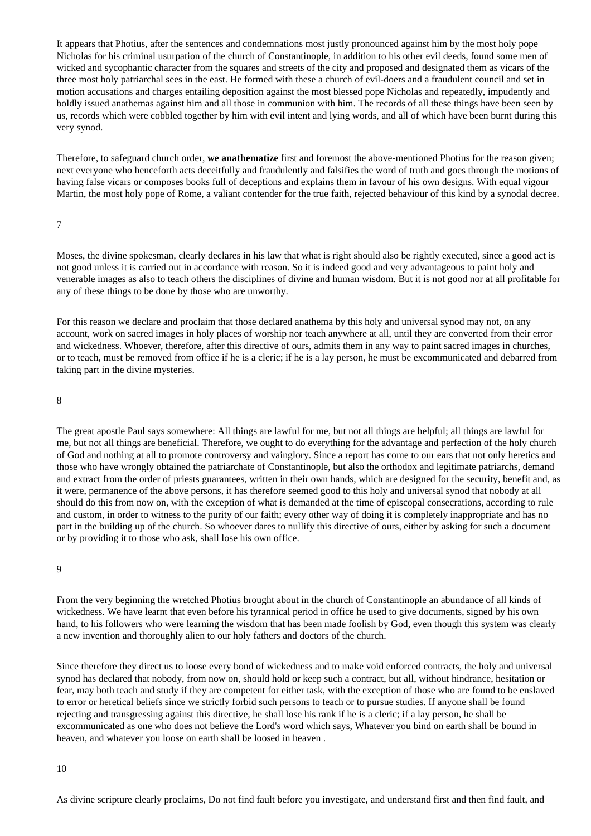It appears that Photius, after the sentences and condemnations most justly pronounced against him by the most holy pope Nicholas for his criminal usurpation of the church of Constantinople, in addition to his other evil deeds, found some men of wicked and sycophantic character from the squares and streets of the city and proposed and designated them as vicars of the three most holy patriarchal sees in the east. He formed with these a church of evil-doers and a fraudulent council and set in motion accusations and charges entailing deposition against the most blessed pope Nicholas and repeatedly, impudently and boldly issued anathemas against him and all those in communion with him. The records of all these things have been seen by us, records which were cobbled together by him with evil intent and lying words, and all of which have been burnt during this very synod.

Therefore, to safeguard church order, **we anathematize** first and foremost the above-mentioned Photius for the reason given; next everyone who henceforth acts deceitfully and fraudulently and falsifies the word of truth and goes through the motions of having false vicars or composes books full of deceptions and explains them in favour of his own designs. With equal vigour Martin, the most holy pope of Rome, a valiant contender for the true faith, rejected behaviour of this kind by a synodal decree.

#### 7

Moses, the divine spokesman, clearly declares in his law that what is right should also be rightly executed, since a good act is not good unless it is carried out in accordance with reason. So it is indeed good and very advantageous to paint holy and venerable images as also to teach others the disciplines of divine and human wisdom. But it is not good nor at all profitable for any of these things to be done by those who are unworthy.

For this reason we declare and proclaim that those declared anathema by this holy and universal synod may not, on any account, work on sacred images in holy places of worship nor teach anywhere at all, until they are converted from their error and wickedness. Whoever, therefore, after this directive of ours, admits them in any way to paint sacred images in churches, or to teach, must be removed from office if he is a cleric; if he is a lay person, he must be excommunicated and debarred from taking part in the divine mysteries.

#### 8

The great apostle Paul says somewhere: All things are lawful for me, but not all things are helpful; all things are lawful for me, but not all things are beneficial. Therefore, we ought to do everything for the advantage and perfection of the holy church of God and nothing at all to promote controversy and vainglory. Since a report has come to our ears that not only heretics and those who have wrongly obtained the patriarchate of Constantinople, but also the orthodox and legitimate patriarchs, demand and extract from the order of priests guarantees, written in their own hands, which are designed for the security, benefit and, as it were, permanence of the above persons, it has therefore seemed good to this holy and universal synod that nobody at all should do this from now on, with the exception of what is demanded at the time of episcopal consecrations, according to rule and custom, in order to witness to the purity of our faith; every other way of doing it is completely inappropriate and has no part in the building up of the church. So whoever dares to nullify this directive of ours, either by asking for such a document or by providing it to those who ask, shall lose his own office.

#### 9

From the very beginning the wretched Photius brought about in the church of Constantinople an abundance of all kinds of wickedness. We have learnt that even before his tyrannical period in office he used to give documents, signed by his own hand, to his followers who were learning the wisdom that has been made foolish by God, even though this system was clearly a new invention and thoroughly alien to our holy fathers and doctors of the church.

Since therefore they direct us to loose every bond of wickedness and to make void enforced contracts, the holy and universal synod has declared that nobody, from now on, should hold or keep such a contract, but all, without hindrance, hesitation or fear, may both teach and study if they are competent for either task, with the exception of those who are found to be enslaved to error or heretical beliefs since we strictly forbid such persons to teach or to pursue studies. If anyone shall be found rejecting and transgressing against this directive, he shall lose his rank if he is a cleric; if a lay person, he shall be excommunicated as one who does not believe the Lord's word which says, Whatever you bind on earth shall be bound in heaven, and whatever you loose on earth shall be loosed in heaven .

As divine scripture clearly proclaims, Do not find fault before you investigate, and understand first and then find fault, and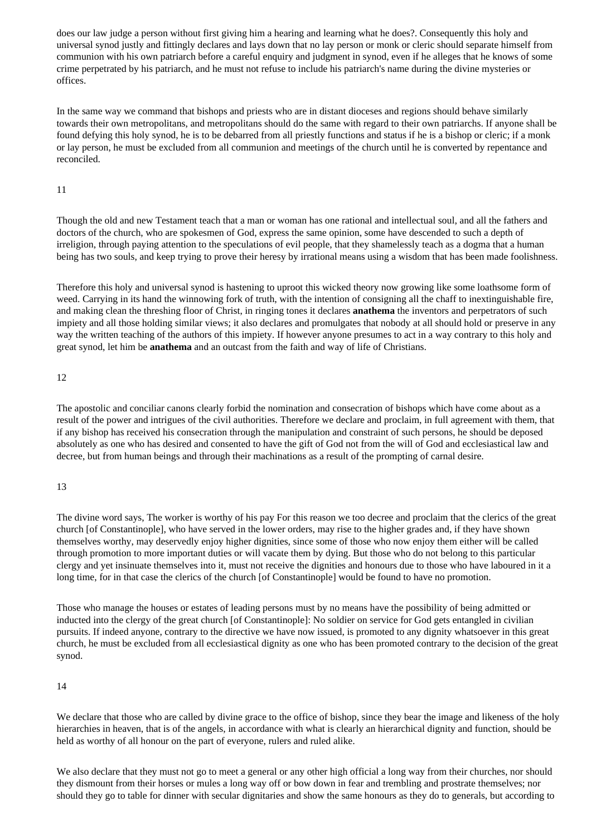does our law judge a person without first giving him a hearing and learning what he does?. Consequently this holy and universal synod justly and fittingly declares and lays down that no lay person or monk or cleric should separate himself from communion with his own patriarch before a careful enquiry and judgment in synod, even if he alleges that he knows of some crime perpetrated by his patriarch, and he must not refuse to include his patriarch's name during the divine mysteries or offices.

In the same way we command that bishops and priests who are in distant dioceses and regions should behave similarly towards their own metropolitans, and metropolitans should do the same with regard to their own patriarchs. If anyone shall be found defying this holy synod, he is to be debarred from all priestly functions and status if he is a bishop or cleric; if a monk or lay person, he must be excluded from all communion and meetings of the church until he is converted by repentance and reconciled.

## 11

Though the old and new Testament teach that a man or woman has one rational and intellectual soul, and all the fathers and doctors of the church, who are spokesmen of God, express the same opinion, some have descended to such a depth of irreligion, through paying attention to the speculations of evil people, that they shamelessly teach as a dogma that a human being has two souls, and keep trying to prove their heresy by irrational means using a wisdom that has been made foolishness.

Therefore this holy and universal synod is hastening to uproot this wicked theory now growing like some loathsome form of weed. Carrying in its hand the winnowing fork of truth, with the intention of consigning all the chaff to inextinguishable fire, and making clean the threshing floor of Christ, in ringing tones it declares **anathema** the inventors and perpetrators of such impiety and all those holding similar views; it also declares and promulgates that nobody at all should hold or preserve in any way the written teaching of the authors of this impiety. If however anyone presumes to act in a way contrary to this holy and great synod, let him be **anathema** and an outcast from the faith and way of life of Christians.

## 12

The apostolic and conciliar canons clearly forbid the nomination and consecration of bishops which have come about as a result of the power and intrigues of the civil authorities. Therefore we declare and proclaim, in full agreement with them, that if any bishop has received his consecration through the manipulation and constraint of such persons, he should be deposed absolutely as one who has desired and consented to have the gift of God not from the will of God and ecclesiastical law and decree, but from human beings and through their machinations as a result of the prompting of carnal desire.

# 13

The divine word says, The worker is worthy of his pay For this reason we too decree and proclaim that the clerics of the great church [of Constantinople], who have served in the lower orders, may rise to the higher grades and, if they have shown themselves worthy, may deservedly enjoy higher dignities, since some of those who now enjoy them either will be called through promotion to more important duties or will vacate them by dying. But those who do not belong to this particular clergy and yet insinuate themselves into it, must not receive the dignities and honours due to those who have laboured in it a long time, for in that case the clerics of the church [of Constantinople] would be found to have no promotion.

Those who manage the houses or estates of leading persons must by no means have the possibility of being admitted or inducted into the clergy of the great church [of Constantinople]: No soldier on service for God gets entangled in civilian pursuits. If indeed anyone, contrary to the directive we have now issued, is promoted to any dignity whatsoever in this great church, he must be excluded from all ecclesiastical dignity as one who has been promoted contrary to the decision of the great synod.

# 14

We declare that those who are called by divine grace to the office of bishop, since they bear the image and likeness of the holy hierarchies in heaven, that is of the angels, in accordance with what is clearly an hierarchical dignity and function, should be held as worthy of all honour on the part of everyone, rulers and ruled alike.

We also declare that they must not go to meet a general or any other high official a long way from their churches, nor should they dismount from their horses or mules a long way off or bow down in fear and trembling and prostrate themselves; nor should they go to table for dinner with secular dignitaries and show the same honours as they do to generals, but according to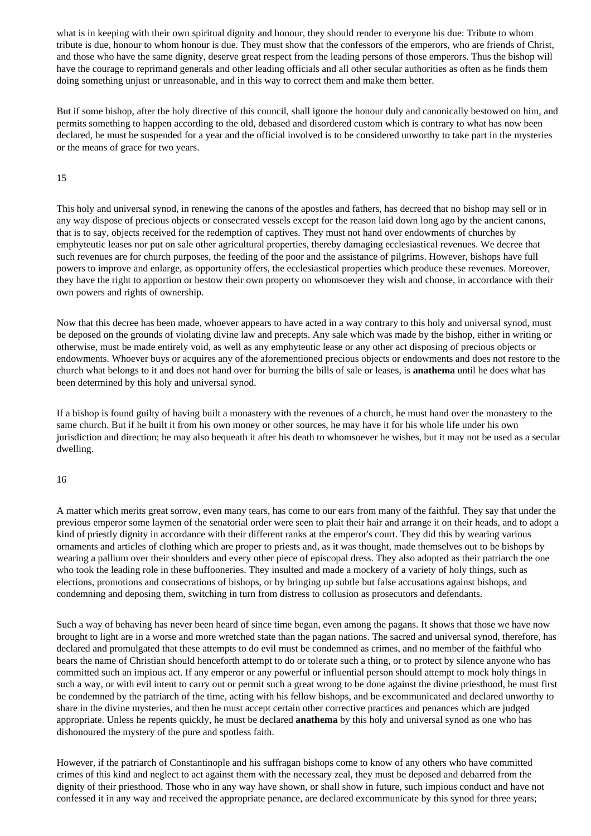what is in keeping with their own spiritual dignity and honour, they should render to everyone his due: Tribute to whom tribute is due, honour to whom honour is due. They must show that the confessors of the emperors, who are friends of Christ, and those who have the same dignity, deserve great respect from the leading persons of those emperors. Thus the bishop will have the courage to reprimand generals and other leading officials and all other secular authorities as often as he finds them doing something unjust or unreasonable, and in this way to correct them and make them better.

But if some bishop, after the holy directive of this council, shall ignore the honour duly and canonically bestowed on him, and permits something to happen according to the old, debased and disordered custom which is contrary to what has now been declared, he must be suspended for a year and the official involved is to be considered unworthy to take part in the mysteries or the means of grace for two years.

#### 15

This holy and universal synod, in renewing the canons of the apostles and fathers, has decreed that no bishop may sell or in any way dispose of precious objects or consecrated vessels except for the reason laid down long ago by the ancient canons, that is to say, objects received for the redemption of captives. They must not hand over endowments of churches by emphyteutic leases nor put on sale other agricultural properties, thereby damaging ecclesiastical revenues. We decree that such revenues are for church purposes, the feeding of the poor and the assistance of pilgrims. However, bishops have full powers to improve and enlarge, as opportunity offers, the ecclesiastical properties which produce these revenues. Moreover, they have the right to apportion or bestow their own property on whomsoever they wish and choose, in accordance with their own powers and rights of ownership.

Now that this decree has been made, whoever appears to have acted in a way contrary to this holy and universal synod, must be deposed on the grounds of violating divine law and precepts. Any sale which was made by the bishop, either in writing or otherwise, must be made entirely void, as well as any emphyteutic lease or any other act disposing of precious objects or endowments. Whoever buys or acquires any of the aforementioned precious objects or endowments and does not restore to the church what belongs to it and does not hand over for burning the bills of sale or leases, is **anathema** until he does what has been determined by this holy and universal synod.

If a bishop is found guilty of having built a monastery with the revenues of a church, he must hand over the monastery to the same church. But if he built it from his own money or other sources, he may have it for his whole life under his own jurisdiction and direction; he may also bequeath it after his death to whomsoever he wishes, but it may not be used as a secular dwelling.

#### 16

A matter which merits great sorrow, even many tears, has come to our ears from many of the faithful. They say that under the previous emperor some laymen of the senatorial order were seen to plait their hair and arrange it on their heads, and to adopt a kind of priestly dignity in accordance with their different ranks at the emperor's court. They did this by wearing various ornaments and articles of clothing which are proper to priests and, as it was thought, made themselves out to be bishops by wearing a pallium over their shoulders and every other piece of episcopal dress. They also adopted as their patriarch the one who took the leading role in these buffooneries. They insulted and made a mockery of a variety of holy things, such as elections, promotions and consecrations of bishops, or by bringing up subtle but false accusations against bishops, and condemning and deposing them, switching in turn from distress to collusion as prosecutors and defendants.

Such a way of behaving has never been heard of since time began, even among the pagans. It shows that those we have now brought to light are in a worse and more wretched state than the pagan nations. The sacred and universal synod, therefore, has declared and promulgated that these attempts to do evil must be condemned as crimes, and no member of the faithful who bears the name of Christian should henceforth attempt to do or tolerate such a thing, or to protect by silence anyone who has committed such an impious act. If any emperor or any powerful or influential person should attempt to mock holy things in such a way, or with evil intent to carry out or permit such a great wrong to be done against the divine priesthood, he must first be condemned by the patriarch of the time, acting with his fellow bishops, and be excommunicated and declared unworthy to share in the divine mysteries, and then he must accept certain other corrective practices and penances which are judged appropriate. Unless he repents quickly, he must be declared **anathema** by this holy and universal synod as one who has dishonoured the mystery of the pure and spotless faith.

However, if the patriarch of Constantinople and his suffragan bishops come to know of any others who have committed crimes of this kind and neglect to act against them with the necessary zeal, they must be deposed and debarred from the dignity of their priesthood. Those who in any way have shown, or shall show in future, such impious conduct and have not confessed it in any way and received the appropriate penance, are declared excommunicate by this synod for three years;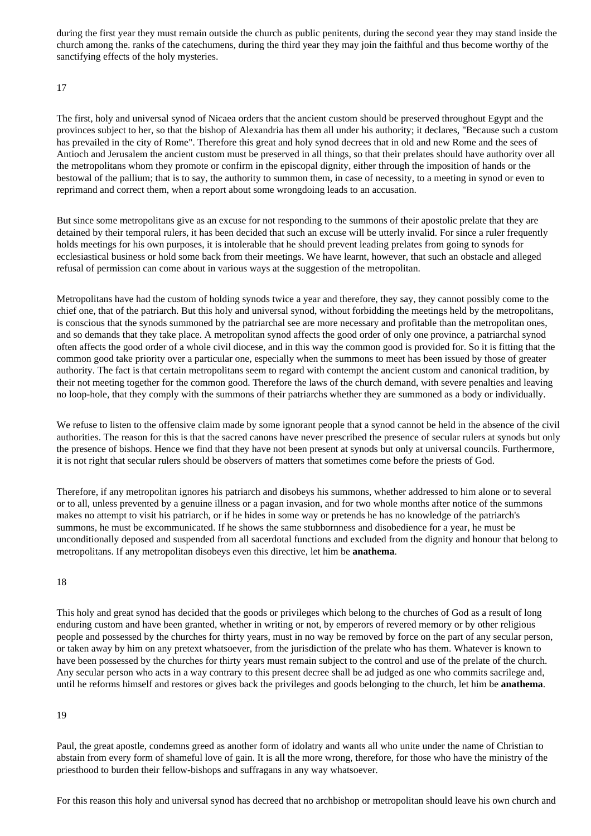during the first year they must remain outside the church as public penitents, during the second year they may stand inside the church among the. ranks of the catechumens, during the third year they may join the faithful and thus become worthy of the sanctifying effects of the holy mysteries.

## 17

The first, holy and universal synod of Nicaea orders that the ancient custom should be preserved throughout Egypt and the provinces subject to her, so that the bishop of Alexandria has them all under his authority; it declares, "Because such a custom has prevailed in the city of Rome". Therefore this great and holy synod decrees that in old and new Rome and the sees of Antioch and Jerusalem the ancient custom must be preserved in all things, so that their prelates should have authority over all the metropolitans whom they promote or confirm in the episcopal dignity, either through the imposition of hands or the bestowal of the pallium; that is to say, the authority to summon them, in case of necessity, to a meeting in synod or even to reprimand and correct them, when a report about some wrongdoing leads to an accusation.

But since some metropolitans give as an excuse for not responding to the summons of their apostolic prelate that they are detained by their temporal rulers, it has been decided that such an excuse will be utterly invalid. For since a ruler frequently holds meetings for his own purposes, it is intolerable that he should prevent leading prelates from going to synods for ecclesiastical business or hold some back from their meetings. We have learnt, however, that such an obstacle and alleged refusal of permission can come about in various ways at the suggestion of the metropolitan.

Metropolitans have had the custom of holding synods twice a year and therefore, they say, they cannot possibly come to the chief one, that of the patriarch. But this holy and universal synod, without forbidding the meetings held by the metropolitans, is conscious that the synods summoned by the patriarchal see are more necessary and profitable than the metropolitan ones, and so demands that they take place. A metropolitan synod affects the good order of only one province, a patriarchal synod often affects the good order of a whole civil diocese, and in this way the common good is provided for. So it is fitting that the common good take priority over a particular one, especially when the summons to meet has been issued by those of greater authority. The fact is that certain metropolitans seem to regard with contempt the ancient custom and canonical tradition, by their not meeting together for the common good. Therefore the laws of the church demand, with severe penalties and leaving no loop-hole, that they comply with the summons of their patriarchs whether they are summoned as a body or individually.

We refuse to listen to the offensive claim made by some ignorant people that a synod cannot be held in the absence of the civil authorities. The reason for this is that the sacred canons have never prescribed the presence of secular rulers at synods but only the presence of bishops. Hence we find that they have not been present at synods but only at universal councils. Furthermore, it is not right that secular rulers should be observers of matters that sometimes come before the priests of God.

Therefore, if any metropolitan ignores his patriarch and disobeys his summons, whether addressed to him alone or to several or to all, unless prevented by a genuine illness or a pagan invasion, and for two whole months after notice of the summons makes no attempt to visit his patriarch, or if he hides in some way or pretends he has no knowledge of the patriarch's summons, he must be excommunicated. If he shows the same stubbornness and disobedience for a year, he must be unconditionally deposed and suspended from all sacerdotal functions and excluded from the dignity and honour that belong to metropolitans. If any metropolitan disobeys even this directive, let him be **anathema**.

#### 18

This holy and great synod has decided that the goods or privileges which belong to the churches of God as a result of long enduring custom and have been granted, whether in writing or not, by emperors of revered memory or by other religious people and possessed by the churches for thirty years, must in no way be removed by force on the part of any secular person, or taken away by him on any pretext whatsoever, from the jurisdiction of the prelate who has them. Whatever is known to have been possessed by the churches for thirty years must remain subject to the control and use of the prelate of the church. Any secular person who acts in a way contrary to this present decree shall be ad judged as one who commits sacrilege and, until he reforms himself and restores or gives back the privileges and goods belonging to the church, let him be **anathema**.

# 19

Paul, the great apostle, condemns greed as another form of idolatry and wants all who unite under the name of Christian to abstain from every form of shameful love of gain. It is all the more wrong, therefore, for those who have the ministry of the priesthood to burden their fellow-bishops and suffragans in any way whatsoever.

For this reason this holy and universal synod has decreed that no archbishop or metropolitan should leave his own church and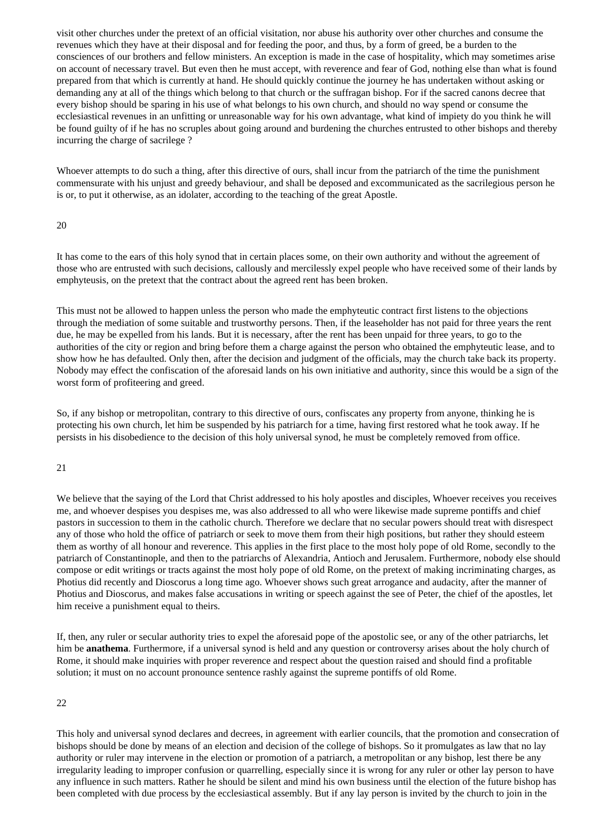visit other churches under the pretext of an official visitation, nor abuse his authority over other churches and consume the revenues which they have at their disposal and for feeding the poor, and thus, by a form of greed, be a burden to the consciences of our brothers and fellow ministers. An exception is made in the case of hospitality, which may sometimes arise on account of necessary travel. But even then he must accept, with reverence and fear of God, nothing else than what is found prepared from that which is currently at hand. He should quickly continue the journey he has undertaken without asking or demanding any at all of the things which belong to that church or the suffragan bishop. For if the sacred canons decree that every bishop should be sparing in his use of what belongs to his own church, and should no way spend or consume the ecclesiastical revenues in an unfitting or unreasonable way for his own advantage, what kind of impiety do you think he will be found guilty of if he has no scruples about going around and burdening the churches entrusted to other bishops and thereby incurring the charge of sacrilege ?

Whoever attempts to do such a thing, after this directive of ours, shall incur from the patriarch of the time the punishment commensurate with his unjust and greedy behaviour, and shall be deposed and excommunicated as the sacrilegious person he is or, to put it otherwise, as an idolater, according to the teaching of the great Apostle.

#### 20

It has come to the ears of this holy synod that in certain places some, on their own authority and without the agreement of those who are entrusted with such decisions, callously and mercilessly expel people who have received some of their lands by emphyteusis, on the pretext that the contract about the agreed rent has been broken.

This must not be allowed to happen unless the person who made the emphyteutic contract first listens to the objections through the mediation of some suitable and trustworthy persons. Then, if the leaseholder has not paid for three years the rent due, he may be expelled from his lands. But it is necessary, after the rent has been unpaid for three years, to go to the authorities of the city or region and bring before them a charge against the person who obtained the emphyteutic lease, and to show how he has defaulted. Only then, after the decision and judgment of the officials, may the church take back its property. Nobody may effect the confiscation of the aforesaid lands on his own initiative and authority, since this would be a sign of the worst form of profiteering and greed.

So, if any bishop or metropolitan, contrary to this directive of ours, confiscates any property from anyone, thinking he is protecting his own church, let him be suspended by his patriarch for a time, having first restored what he took away. If he persists in his disobedience to the decision of this holy universal synod, he must be completely removed from office.

#### 21

We believe that the saying of the Lord that Christ addressed to his holy apostles and disciples. Whoever receives you receives me, and whoever despises you despises me, was also addressed to all who were likewise made supreme pontiffs and chief pastors in succession to them in the catholic church. Therefore we declare that no secular powers should treat with disrespect any of those who hold the office of patriarch or seek to move them from their high positions, but rather they should esteem them as worthy of all honour and reverence. This applies in the first place to the most holy pope of old Rome, secondly to the patriarch of Constantinople, and then to the patriarchs of Alexandria, Antioch and Jerusalem. Furthermore, nobody else should compose or edit writings or tracts against the most holy pope of old Rome, on the pretext of making incriminating charges, as Photius did recently and Dioscorus a long time ago. Whoever shows such great arrogance and audacity, after the manner of Photius and Dioscorus, and makes false accusations in writing or speech against the see of Peter, the chief of the apostles, let him receive a punishment equal to theirs.

If, then, any ruler or secular authority tries to expel the aforesaid pope of the apostolic see, or any of the other patriarchs, let him be **anathema**. Furthermore, if a universal synod is held and any question or controversy arises about the holy church of Rome, it should make inquiries with proper reverence and respect about the question raised and should find a profitable solution; it must on no account pronounce sentence rashly against the supreme pontiffs of old Rome.

22

This holy and universal synod declares and decrees, in agreement with earlier councils, that the promotion and consecration of bishops should be done by means of an election and decision of the college of bishops. So it promulgates as law that no lay authority or ruler may intervene in the election or promotion of a patriarch, a metropolitan or any bishop, lest there be any irregularity leading to improper confusion or quarrelling, especially since it is wrong for any ruler or other lay person to have any influence in such matters. Rather he should be silent and mind his own business until the election of the future bishop has been completed with due process by the ecclesiastical assembly. But if any lay person is invited by the church to join in the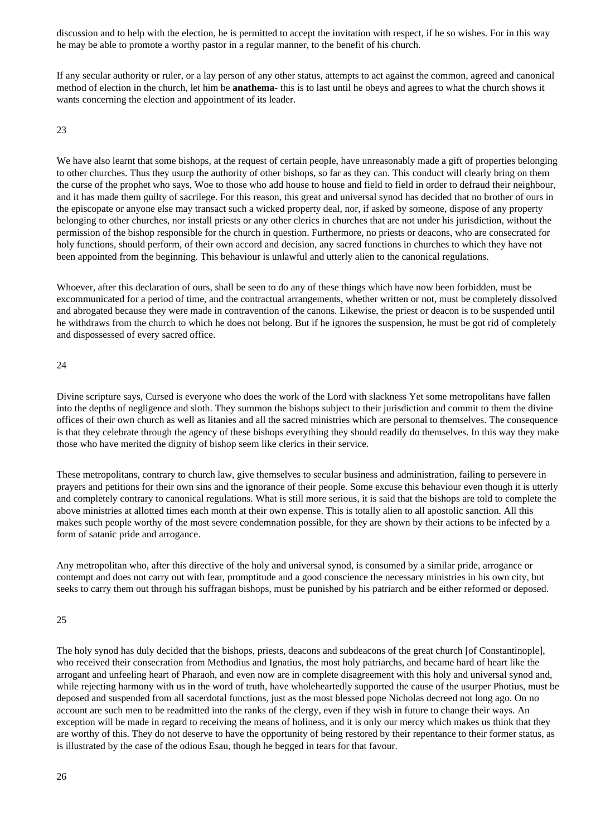discussion and to help with the election, he is permitted to accept the invitation with respect, if he so wishes. For in this way he may be able to promote a worthy pastor in a regular manner, to the benefit of his church.

If any secular authority or ruler, or a lay person of any other status, attempts to act against the common, agreed and canonical method of election in the church, let him be **anathema**- this is to last until he obeys and agrees to what the church shows it wants concerning the election and appointment of its leader.

23

We have also learnt that some bishops, at the request of certain people, have unreasonably made a gift of properties belonging to other churches. Thus they usurp the authority of other bishops, so far as they can. This conduct will clearly bring on them the curse of the prophet who says, Woe to those who add house to house and field to field in order to defraud their neighbour, and it has made them guilty of sacrilege. For this reason, this great and universal synod has decided that no brother of ours in the episcopate or anyone else may transact such a wicked property deal, nor, if asked by someone, dispose of any property belonging to other churches, nor install priests or any other clerics in churches that are not under his jurisdiction, without the permission of the bishop responsible for the church in question. Furthermore, no priests or deacons, who are consecrated for holy functions, should perform, of their own accord and decision, any sacred functions in churches to which they have not been appointed from the beginning. This behaviour is unlawful and utterly alien to the canonical regulations.

Whoever, after this declaration of ours, shall be seen to do any of these things which have now been forbidden, must be excommunicated for a period of time, and the contractual arrangements, whether written or not, must be completely dissolved and abrogated because they were made in contravention of the canons. Likewise, the priest or deacon is to be suspended until he withdraws from the church to which he does not belong. But if he ignores the suspension, he must be got rid of completely and dispossessed of every sacred office.

#### 24

Divine scripture says, Cursed is everyone who does the work of the Lord with slackness Yet some metropolitans have fallen into the depths of negligence and sloth. They summon the bishops subject to their jurisdiction and commit to them the divine offices of their own church as well as litanies and all the sacred ministries which are personal to themselves. The consequence is that they celebrate through the agency of these bishops everything they should readily do themselves. In this way they make those who have merited the dignity of bishop seem like clerics in their service.

These metropolitans, contrary to church law, give themselves to secular business and administration, failing to persevere in prayers and petitions for their own sins and the ignorance of their people. Some excuse this behaviour even though it is utterly and completely contrary to canonical regulations. What is still more serious, it is said that the bishops are told to complete the above ministries at allotted times each month at their own expense. This is totally alien to all apostolic sanction. All this makes such people worthy of the most severe condemnation possible, for they are shown by their actions to be infected by a form of satanic pride and arrogance.

Any metropolitan who, after this directive of the holy and universal synod, is consumed by a similar pride, arrogance or contempt and does not carry out with fear, promptitude and a good conscience the necessary ministries in his own city, but seeks to carry them out through his suffragan bishops, must be punished by his patriarch and be either reformed or deposed.

#### 25

The holy synod has duly decided that the bishops, priests, deacons and subdeacons of the great church [of Constantinople], who received their consecration from Methodius and Ignatius, the most holy patriarchs, and became hard of heart like the arrogant and unfeeling heart of Pharaoh, and even now are in complete disagreement with this holy and universal synod and, while rejecting harmony with us in the word of truth, have wholeheartedly supported the cause of the usurper Photius, must be deposed and suspended from all sacerdotal functions, just as the most blessed pope Nicholas decreed not long ago. On no account are such men to be readmitted into the ranks of the clergy, even if they wish in future to change their ways. An exception will be made in regard to receiving the means of holiness, and it is only our mercy which makes us think that they are worthy of this. They do not deserve to have the opportunity of being restored by their repentance to their former status, as is illustrated by the case of the odious Esau, though he begged in tears for that favour.